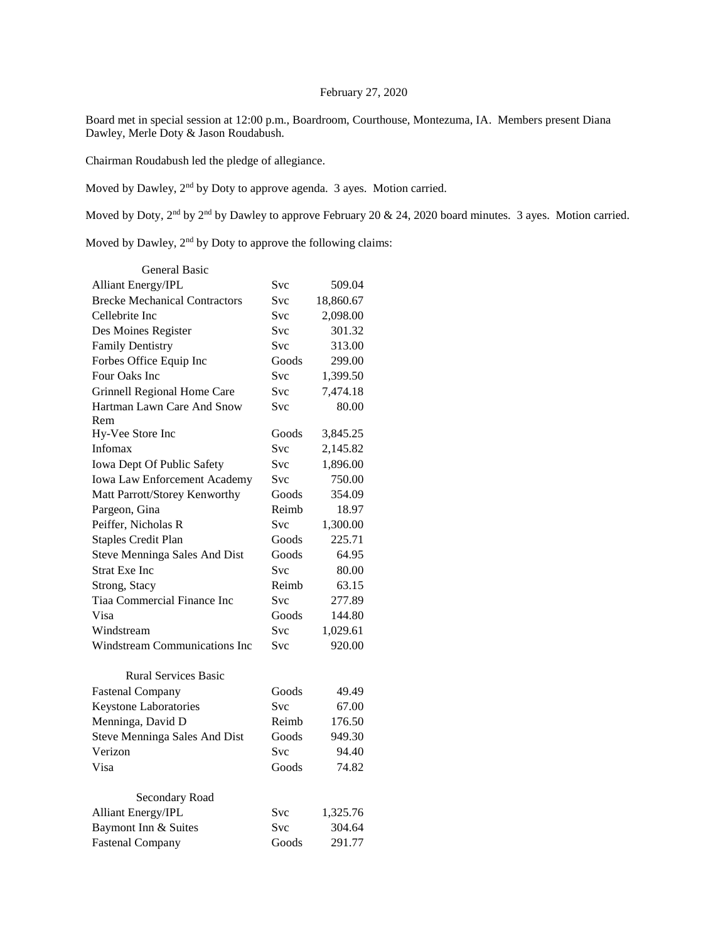## February 27, 2020

Board met in special session at 12:00 p.m., Boardroom, Courthouse, Montezuma, IA. Members present Diana Dawley, Merle Doty & Jason Roudabush.

Chairman Roudabush led the pledge of allegiance.

Moved by Dawley, 2nd by Doty to approve agenda. 3 ayes. Motion carried.

Moved by Doty, 2<sup>nd</sup> by 2<sup>nd</sup> by Dawley to approve February 20 & 24, 2020 board minutes. 3 ayes. Motion carried.

Moved by Dawley, 2<sup>nd</sup> by Doty to approve the following claims:

| General Basic                        |            |           |
|--------------------------------------|------------|-----------|
| <b>Alliant Energy/IPL</b>            | Svc        | 509.04    |
| <b>Brecke Mechanical Contractors</b> | Svc        | 18,860.67 |
| Cellebrite Inc                       | Svc        | 2,098.00  |
| Des Moines Register                  | Svc        | 301.32    |
| <b>Family Dentistry</b>              | Svc        | 313.00    |
| Forbes Office Equip Inc              | Goods      | 299.00    |
| Four Oaks Inc                        | Svc        | 1,399.50  |
| Grinnell Regional Home Care          | Svc        | 7,474.18  |
| Hartman Lawn Care And Snow           | Svc        | 80.00     |
| Rem                                  |            |           |
| Hy-Vee Store Inc                     | Goods      | 3,845.25  |
| Infomax                              | Svc        | 2,145.82  |
| Iowa Dept Of Public Safety           | Svc        | 1,896.00  |
| <b>Iowa Law Enforcement Academy</b>  | Svc        | 750.00    |
| Matt Parrott/Storey Kenworthy        | Goods      | 354.09    |
| Pargeon, Gina                        | Reimb      | 18.97     |
| Peiffer, Nicholas R                  | Svc        | 1,300.00  |
| <b>Staples Credit Plan</b>           | Goods      | 225.71    |
| Steve Menninga Sales And Dist        | Goods      | 64.95     |
| <b>Strat Exe Inc</b>                 | Svc        | 80.00     |
| Strong, Stacy                        | Reimb      | 63.15     |
| Tiaa Commercial Finance Inc          | <b>Svc</b> | 277.89    |
| Visa                                 | Goods      | 144.80    |
| Windstream                           | <b>Svc</b> | 1,029.61  |
| <b>Windstream Communications Inc</b> | Svc        | 920.00    |
| <b>Rural Services Basic</b>          |            |           |
| <b>Fastenal Company</b>              | Goods      | 49.49     |
| <b>Keystone Laboratories</b>         | Svc        | 67.00     |
| Menninga, David D                    | Reimb      | 176.50    |
| <b>Steve Menninga Sales And Dist</b> | Goods      | 949.30    |
| Verizon                              | <b>Svc</b> | 94.40     |
| Visa                                 | Goods      | 74.82     |
| Secondary Road                       |            |           |
| <b>Alliant Energy/IPL</b>            | Svc        | 1,325.76  |
| Baymont Inn & Suites                 | <b>Svc</b> | 304.64    |
| <b>Fastenal Company</b>              | Goods      | 291.77    |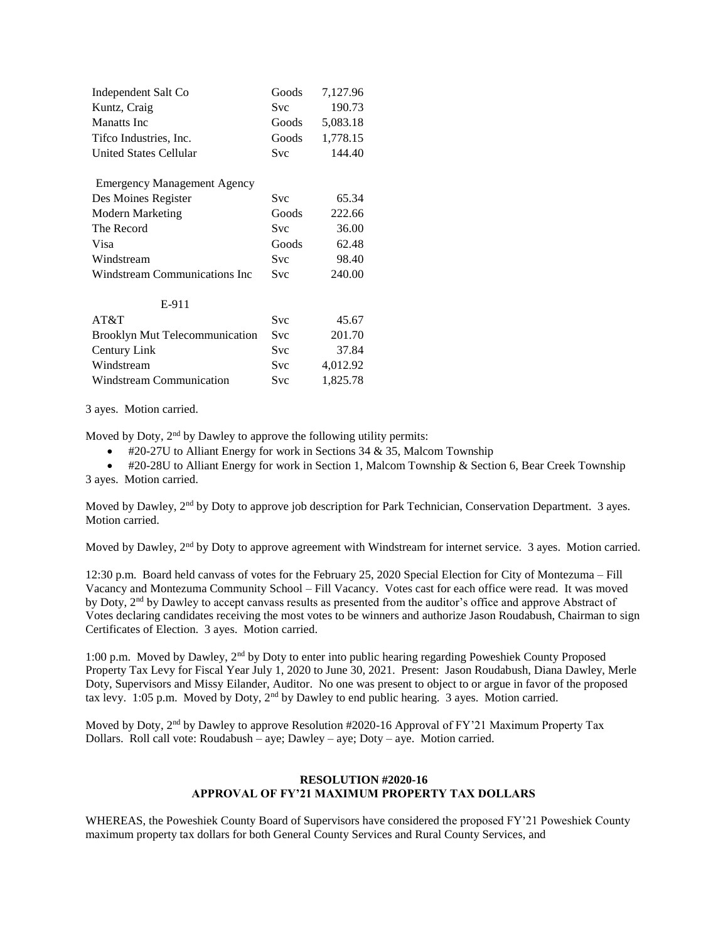| Independent Salt Co                   | Goods      | 7,127.96 |
|---------------------------------------|------------|----------|
| Kuntz, Craig                          | <b>Svc</b> | 190.73   |
| <b>Manatts</b> Inc                    | Goods      | 5,083.18 |
| Tifco Industries, Inc.                | Goods      | 1,778.15 |
| United States Cellular                | Svc        | 144.40   |
| <b>Emergency Management Agency</b>    |            |          |
| Des Moines Register                   | <b>Svc</b> | 65.34    |
| Modern Marketing                      | Goods      | 222.66   |
| The Record                            | <b>Svc</b> | 36.00    |
| <b>Visa</b>                           | Goods      | 62.48    |
| Windstream                            | Svc        | 98.40    |
| Windstream Communications Inc         | Svc        | 240.00   |
| E-911                                 |            |          |
| AT&T                                  | <b>Svc</b> | 45.67    |
| <b>Brooklyn Mut Telecommunication</b> | <b>Svc</b> | 201.70   |
| Century Link                          | Svc        | 37.84    |
| Windstream                            | <b>Svc</b> | 4,012.92 |
| Windstream Communication              | Svc        | 1.825.78 |

3 ayes. Motion carried.

Moved by Doty, 2nd by Dawley to approve the following utility permits:

 $\bullet$  #20-27U to Alliant Energy for work in Sections 34 & 35, Malcom Township

 #20-28U to Alliant Energy for work in Section 1, Malcom Township & Section 6, Bear Creek Township 3 ayes. Motion carried.

Moved by Dawley, 2<sup>nd</sup> by Doty to approve job description for Park Technician, Conservation Department. 3 ayes. Motion carried.

Moved by Dawley, 2<sup>nd</sup> by Doty to approve agreement with Windstream for internet service. 3 ayes. Motion carried.

12:30 p.m. Board held canvass of votes for the February 25, 2020 Special Election for City of Montezuma – Fill Vacancy and Montezuma Community School – Fill Vacancy. Votes cast for each office were read. It was moved by Doty, 2<sup>nd</sup> by Dawley to accept canvass results as presented from the auditor's office and approve Abstract of Votes declaring candidates receiving the most votes to be winners and authorize Jason Roudabush, Chairman to sign Certificates of Election. 3 ayes. Motion carried.

1:00 p.m. Moved by Dawley, 2nd by Doty to enter into public hearing regarding Poweshiek County Proposed Property Tax Levy for Fiscal Year July 1, 2020 to June 30, 2021. Present: Jason Roudabush, Diana Dawley, Merle Doty, Supervisors and Missy Eilander, Auditor. No one was present to object to or argue in favor of the proposed tax levy. 1:05 p.m. Moved by Doty,  $2<sup>nd</sup>$  by Dawley to end public hearing. 3 ayes. Motion carried.

Moved by Doty, 2nd by Dawley to approve Resolution #2020-16 Approval of FY'21 Maximum Property Tax Dollars. Roll call vote: Roudabush – aye; Dawley – aye; Doty – aye. Motion carried.

## **RESOLUTION #2020-16 APPROVAL OF FY'21 MAXIMUM PROPERTY TAX DOLLARS**

WHEREAS, the Poweshiek County Board of Supervisors have considered the proposed FY'21 Poweshiek County maximum property tax dollars for both General County Services and Rural County Services, and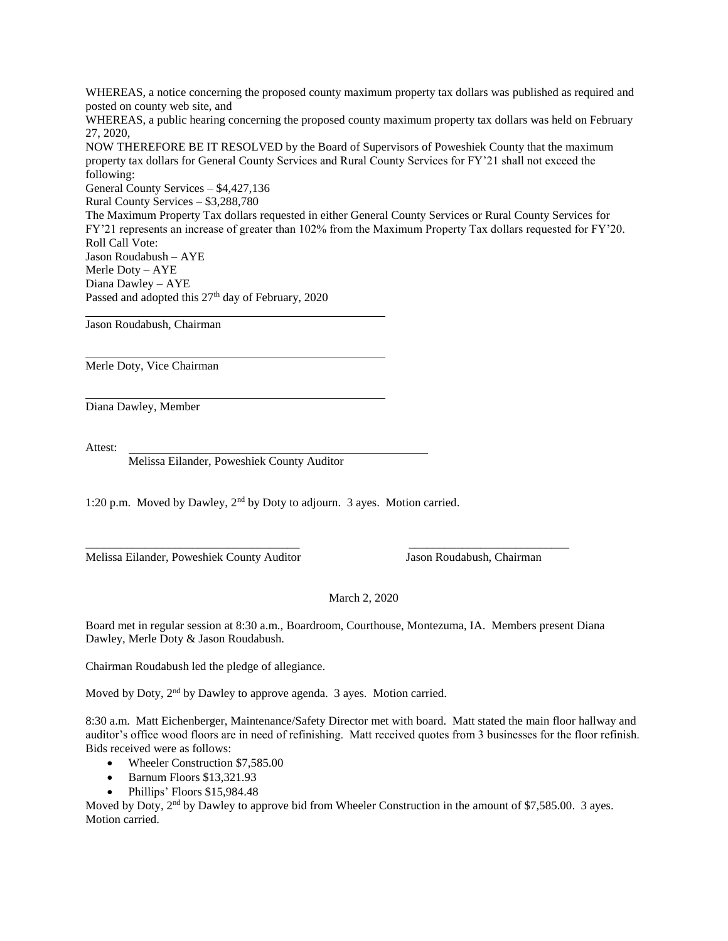WHEREAS, a notice concerning the proposed county maximum property tax dollars was published as required and posted on county web site, and

WHEREAS, a public hearing concerning the proposed county maximum property tax dollars was held on February 27, 2020,

NOW THEREFORE BE IT RESOLVED by the Board of Supervisors of Poweshiek County that the maximum property tax dollars for General County Services and Rural County Services for FY'21 shall not exceed the following:

General County Services – \$4,427,136 Rural County Services – \$3,288,780 The Maximum Property Tax dollars requested in either General County Services or Rural County Services for FY'21 represents an increase of greater than 102% from the Maximum Property Tax dollars requested for FY'20. Roll Call Vote: Jason Roudabush – AYE Merle Doty – AYE Diana Dawley – AYE Passed and adopted this 27<sup>th</sup> day of February, 2020

Jason Roudabush, Chairman

Merle Doty, Vice Chairman

Diana Dawley, Member

Attest:

Melissa Eilander, Poweshiek County Auditor

1:20 p.m. Moved by Dawley, 2nd by Doty to adjourn. 3 ayes. Motion carried.

Melissa Eilander, Poweshiek County Auditor Jason Roudabush, Chairman

## March 2, 2020

Board met in regular session at 8:30 a.m., Boardroom, Courthouse, Montezuma, IA. Members present Diana Dawley, Merle Doty & Jason Roudabush.

\_\_\_\_\_\_\_\_\_\_\_\_\_\_\_\_\_\_\_\_\_\_\_\_\_\_\_\_\_\_\_\_\_\_\_\_ \_\_\_\_\_\_\_\_\_\_\_\_\_\_\_\_\_\_\_\_\_\_\_\_\_\_\_

Chairman Roudabush led the pledge of allegiance.

Moved by Doty, 2<sup>nd</sup> by Dawley to approve agenda. 3 ayes. Motion carried.

8:30 a.m. Matt Eichenberger, Maintenance/Safety Director met with board. Matt stated the main floor hallway and auditor's office wood floors are in need of refinishing. Matt received quotes from 3 businesses for the floor refinish. Bids received were as follows:

- Wheeler Construction \$7,585.00
- Barnum Floors \$13,321.93
- Phillips' Floors \$15,984.48

Moved by Doty, 2<sup>nd</sup> by Dawley to approve bid from Wheeler Construction in the amount of \$7,585.00. 3 ayes. Motion carried.